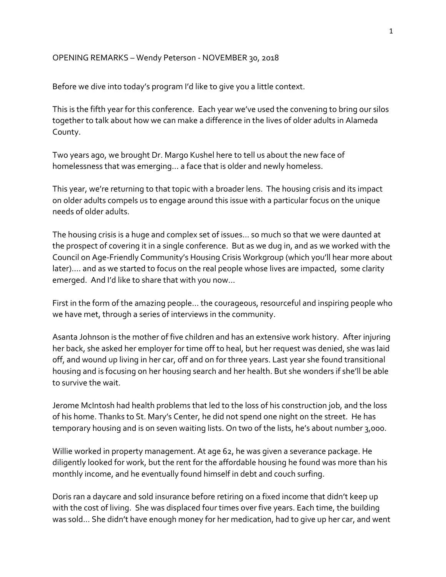## OPENING REMARKS – Wendy Peterson - NOVEMBER 30, 2018

Before we dive into today's program I'd like to give you a little context.

This is the fifth year for this conference. Each year we've used the convening to bring our silos together to talk about how we can make a difference in the lives of older adults in Alameda County.

Two years ago, we brought Dr. Margo Kushel here to tell us about the new face of homelessness that was emerging… a face that is older and newly homeless.

This year, we're returning to that topic with a broader lens. The housing crisis and its impact on older adults compels us to engage around this issue with a particular focus on the unique needs of older adults.

The housing crisis is a huge and complex set of issues… so much so that we were daunted at the prospect of covering it in a single conference. But as we dug in, and as we worked with the Council on Age-Friendly Community's Housing Crisis Workgroup (which you'll hear more about later)…. and as we started to focus on the real people whose lives are impacted, some clarity emerged. And I'd like to share that with you now…

First in the form of the amazing people… the courageous, resourceful and inspiring people who we have met, through a series of interviews in the community.

Asanta Johnson is the mother of five children and has an extensive work history. After injuring her back, she asked her employer for time off to heal, but her request was denied, she was laid off, and wound up living in her car, off and on for three years. Last year she found transitional housing and is focusing on her housing search and her health. But she wonders if she'll be able to survive the wait.

Jerome McIntosh had health problems that led to the loss of his construction job, and the loss of his home. Thanks to St. Mary's Center, he did not spend one night on the street. He has temporary housing and is on seven waiting lists. On two of the lists, he's about number 3,000.

Willie worked in property management. At age 62, he was given a severance package. He diligently looked for work, but the rent for the affordable housing he found was more than his monthly income, and he eventually found himself in debt and couch surfing.

Doris ran a daycare and sold insurance before retiring on a fixed income that didn't keep up with the cost of living. She was displaced four times over five years. Each time, the building was sold… She didn't have enough money for her medication, had to give up her car, and went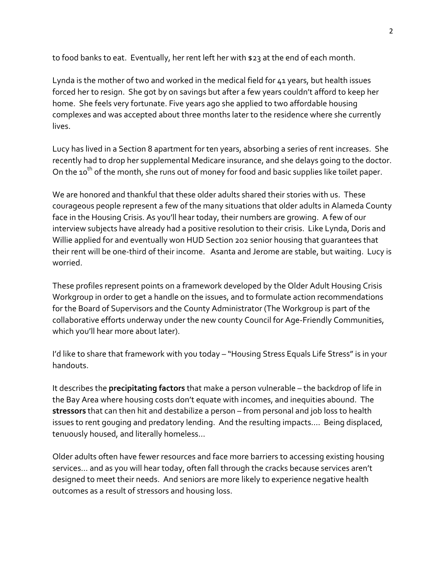to food banks to eat. Eventually, her rent left her with \$23 at the end of each month.

Lynda is the mother of two and worked in the medical field for 41 years, but health issues forced her to resign. She got by on savings but after a few years couldn't afford to keep her home. She feels very fortunate. Five years ago she applied to two affordable housing complexes and was accepted about three months later to the residence where she currently lives.

Lucy has lived in a Section 8 apartment for ten years, absorbing a series of rent increases. She recently had to drop her supplemental Medicare insurance, and she delays going to the doctor. On the 10<sup>th</sup> of the month, she runs out of money for food and basic supplies like toilet paper.

We are honored and thankful that these older adults shared their stories with us. These courageous people represent a few of the many situations that older adults in Alameda County face in the Housing Crisis. As you'll hear today, their numbers are growing. A few of our interview subjects have already had a positive resolution to their crisis. Like Lynda, Doris and Willie applied for and eventually won HUD Section 202 senior housing that guarantees that their rent will be one-third of their income. Asanta and Jerome are stable, but waiting. Lucy is worried.

These profiles represent points on a framework developed by the Older Adult Housing Crisis Workgroup in order to get a handle on the issues, and to formulate action recommendations for the Board of Supervisors and the County Administrator (The Workgroup is part of the collaborative efforts underway under the new county Council for Age-Friendly Communities, which you'll hear more about later).

I'd like to share that framework with you today – "Housing Stress Equals Life Stress" is in your handouts.

It describes the **precipitating factors** that make a person vulnerable – the backdrop of life in the Bay Area where housing costs don't equate with incomes, and inequities abound. The **stressors** that can then hit and destabilize a person – from personal and job loss to health issues to rent gouging and predatory lending. And the resulting impacts…. Being displaced, tenuously housed, and literally homeless…

Older adults often have fewer resources and face more barriers to accessing existing housing services… and as you will hear today, often fall through the cracks because services aren't designed to meet their needs. And seniors are more likely to experience negative health outcomes as a result of stressors and housing loss.